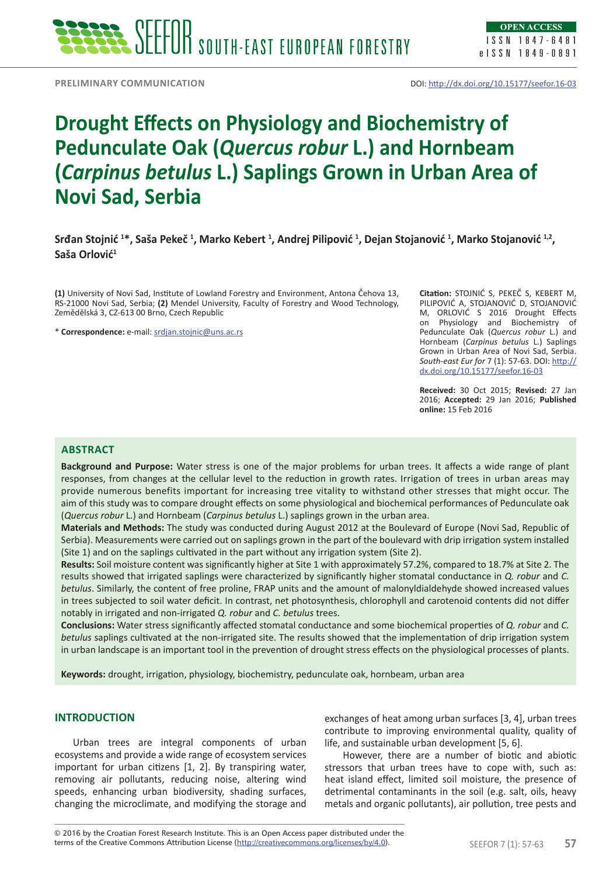

**Preliminary communication**

DOI: http://dx.doi.org/10.15177/seefor.16-03

# **Drought Effects on Physiology and Biochemistry of Pedunculate Oak (***Quercus robur* **L.) and Hornbeam (***Carpinus betulus* **L.) Saplings Grown in Urban Area of Novi Sad, Serbia**

**Srđan Stojnić <sup>1</sup> \*, Saša Pekeč <sup>1</sup> , Marko Kebert <sup>1</sup> , Andrej Pilipović <sup>1</sup> , Dejan Stojanović <sup>1</sup> , Marko Stojanović 1,2, Saša Orlović<sup>1</sup>**

**(1)** University of Novi Sad, Institute of Lowland Forestry and Environment, Antona Čehova 13, RS-21000 Novi Sad, Serbia; **(2)** Mendel University, Faculty of Forestry and Wood Technology, Zemědělská 3, CZ-613 00 Brno, Czech Republic

\* **Correspondence:** e-mail: srdjan.stojnic@uns.ac.rs

**Citation:** STOJNIĆ S, PEKEČ S, KEBERT M, PILIPOVIĆ A, STOJANOVIĆ D, STOJANOVIĆ M, ORLOVIĆ S 2016 Drought Effects on Physiology and Biochemistry of Pedunculate Oak (*Quercus robur* L.) and Hornbeam (*Carpinus betulus* L.) Saplings Grown in Urban Area of Novi Sad, Serbia. *South-east Eur for* 7 (1): 57-63. DOI: http:// dx.doi.org/10.15177/seefor.16-03

**Received:** 30 Oct 2015; **Revised:** 27 Jan 2016; **Accepted:** 29 Jan 2016; **Published online:** 15 Feb 2016

# **Abstract**

**Background and Purpose:** Water stress is one of the major problems for urban trees. It affects a wide range of plant responses, from changes at the cellular level to the reduction in growth rates. Irrigation of trees in urban areas may provide numerous benefits important for increasing tree vitality to withstand other stresses that might occur. The aim of this study was to compare drought effects on some physiological and biochemical performances of Pedunculate oak (*Quercus robur* L.) and Hornbeam (*Carpinus betulus* L.) saplings grown in the urban area.

**Materials and Methods:** The study was conducted during August 2012 at the Boulevard of Europe (Novi Sad, Republic of Serbia). Measurements were carried out on saplings grown in the part of the boulevard with drip irrigation system installed (Site 1) and on the saplings cultivated in the part without any irrigation system (Site 2).

**Results:** Soil moisture content was significantly higher at Site 1 with approximately 57.2%, compared to 18.7% at Site 2. The results showed that irrigated saplings were characterized by significantly higher stomatal conductance in *Q. robur* and *C. betulus*. Similarly, the content of free proline, FRAP units and the amount of malonyldialdehyde showed increased values in trees subjected to soil water deficit. In contrast, net photosynthesis, chlorophyll and carotenoid contents did not differ notably in irrigated and non-irrigated *Q. robur* and *C. betulus* trees.

**Conclusions:** Water stress significantly affected stomatal conductance and some biochemical properties of *Q. robur* and *C. betulus* saplings cultivated at the non-irrigated site. The results showed that the implementation of drip irrigation system in urban landscape is an important tool in the prevention of drought stress effects on the physiological processes of plants.

**Keywords:** drought, irrigation, physiology, biochemistry, pedunculate oak, hornbeam, urban area

#### **INTRODUCTION**

Urban trees are integral components of urban ecosystems and provide a wide range of ecosystem services important for urban citizens [1, 2]. By transpiring water, removing air pollutants, reducing noise, altering wind speeds, enhancing urban biodiversity, shading surfaces, changing the microclimate, and modifying the storage and exchanges of heat among urban surfaces [3, 4], urban trees contribute to improving environmental quality, quality of life, and sustainable urban development [5, 6].

However, there are a number of biotic and abiotic stressors that urban trees have to cope with, such as: heat island effect, limited soil moisture, the presence of detrimental contaminants in the soil (e.g. salt, oils, heavy metals and organic pollutants), air pollution, tree pests and

terms of the Creative Commons Attribution License (http://creativecommons.org/licenses/by/4.0). Same SEEFOR 7 (1): 57-63 57 © 2016 by the Croatian Forest Research Institute. This is an Open Access paper distributed under the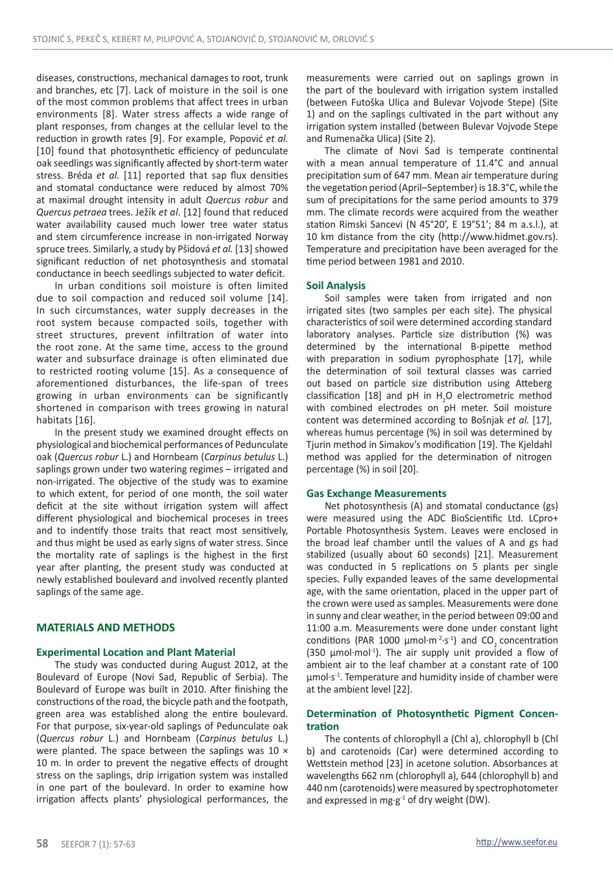diseases, constructions, mechanical damages to root, trunk and branches, etc [7]. Lack of moisture in the soil is one of the most common problems that affect trees in urban environments [8]. Water stress affects a wide range of plant responses, from changes at the cellular level to the reduction in growth rates [9]. For example, Popović *et al.* [10] found that photosynthetic efficiency of pedunculate oak seedlings was significantly affected by short-term water stress. Bréda *et al.* [11] reported that sap flux densities and stomatal conductance were reduced by almost 70% at maximal drought intensity in adult *Quercus robur* and *Quercus petraea* trees. Ježík *et al.* [12] found that reduced water availability caused much lower tree water status and stem circumference increase in non-irrigated Norway spruce trees. Similarly, a study by Pšidová *et al.* [13] showed significant reduction of net photosynthesis and stomatal conductance in beech seedlings subjected to water deficit.

In urban conditions soil moisture is often limited due to soil compaction and reduced soil volume [14]. In such circumstances, water supply decreases in the root system because compacted soils, together with street structures, prevent infiltration of water into the root zone. At the same time, access to the ground water and subsurface drainage is often eliminated due to restricted rooting volume [15]. As a consequence of aforementioned disturbances, the life-span of trees growing in urban environments can be significantly shortened in comparison with trees growing in natural habitats [16].

In the present study we examined drought effects on physiological and biochemical performances of Pedunculate oak (*Quercus robur* L.) and Hornbeam (*Carpinus betulus* L.) saplings grown under two watering regimes – irrigated and non-irrigated. The objective of the study was to examine to which extent, for period of one month, the soil water deficit at the site without irrigation system will affect different physiological and biochemical proceses in trees and to indentify those traits that react most sensitively, and thus might be used as early signs of water stress. Since the mortality rate of saplings is the highest in the first year after planting, the present study was conducted at newly established boulevard and involved recently planted saplings of the same age.

# **MATERIALS AND METHODS**

## **Experimental Location and Plant Material**

The study was conducted during August 2012, at the Boulevard of Europe (Novi Sad, Republic of Serbia). The Boulevard of Europe was built in 2010. After finishing the constructions of the road, the bicycle path and the footpath, green area was established along the entire boulevard. For that purpose, six-year-old saplings of Pedunculate oak (*Quercus robur* L.) and Hornbeam (*Carpinus betulus* L.) were planted. The space between the saplings was 10  $\times$ 10 m. In order to prevent the negative effects of drought stress on the saplings, drip irrigation system was installed in one part of the boulevard. In order to examine how irrigation affects plants' physiological performances, the

measurements were carried out on saplings grown in the part of the boulevard with irrigation system installed (between Futoška Ulica and Bulevar Vojvode Stepe) (Site 1) and on the saplings cultivated in the part without any irrigation system installed (between Bulevar Vojvode Stepe and Rumenačka Ulica) (Site 2).

The climate of Novi Sad is temperate continental with a mean annual temperature of 11.4°C and annual precipitation sum of 647 mm. Mean air temperature during the vegetation period (April–September) is 18.3°C, while the sum of precipitations for the same period amounts to 379 mm. The climate records were acquired from the weather station Rimski Sancevi (N 45°20', E 19°51'; 84 m a.s.l.), at 10 km distance from the city (http://www.hidmet.gov.rs). Temperature and precipitation have been averaged for the time period between 1981 and 2010.

### **Soil Analysis**

Soil samples were taken from irrigated and non irrigated sites (two samples per each site). The physical characteristics of soil were determined according standard laboratory analyses. Particle size distribution (%) was determined by the international B-pipette method with preparation in sodium pyrophosphate [17], while the determination of soil textural classes was carried out based on particle size distribution using Atteberg classification [18] and pH in  $H_2O$  electrometric method with combined electrodes on pH meter. Soil moisture content was determined according to Bošnjak *et al.* [17], whereas humus percentage (%) in soil was determined by Tjurin method in Simakov's modification [19]. The Kjeldahl method was applied for the determination of nitrogen percentage (%) in soil [20].

## **Gas Exchange Measurements**

Net photosynthesis (A) and stomatal conductance (gs) were measured using the ADC BioScientific Ltd. LCpro+ Portable Photosynthesis System. Leaves were enclosed in the broad leaf chamber until the values of A and gs had stabilized (usually about 60 seconds) [21]. Measurement was conducted in 5 replications on 5 plants per single species. Fully expanded leaves of the same developmental age, with the same orientation, placed in the upper part of the crown were used as samples. Measurements were done in sunny and clear weather, in the period between 09:00 and 11:00 a.m. Measurements were done under constant light conditions (PAR 1000 μmol⋅m<sup>-2</sup>⋅s<sup>-1</sup>) and CO<sub>2</sub> concentration (350 μmol∙mol-1). The air supply unit provided a flow of ambient air to the leaf chamber at a constant rate of 100 μmol∙s-1. Temperature and humidity inside of chamber were at the ambient level [22].

## **Determination of Photosynthetic Pigment Concentration**

The contents of chlorophyll a (Chl a), chlorophyll b (Chl b) and carotenoids (Car) were determined according to Wettstein method [23] in acetone solution. Absorbances at wavelengths 662 nm (chlorophyll a), 644 (chlorophyll b) and 440 nm (carotenoids) were measured by spectrophotometer and expressed in mg⋅g<sup>-1</sup> of dry weight (DW).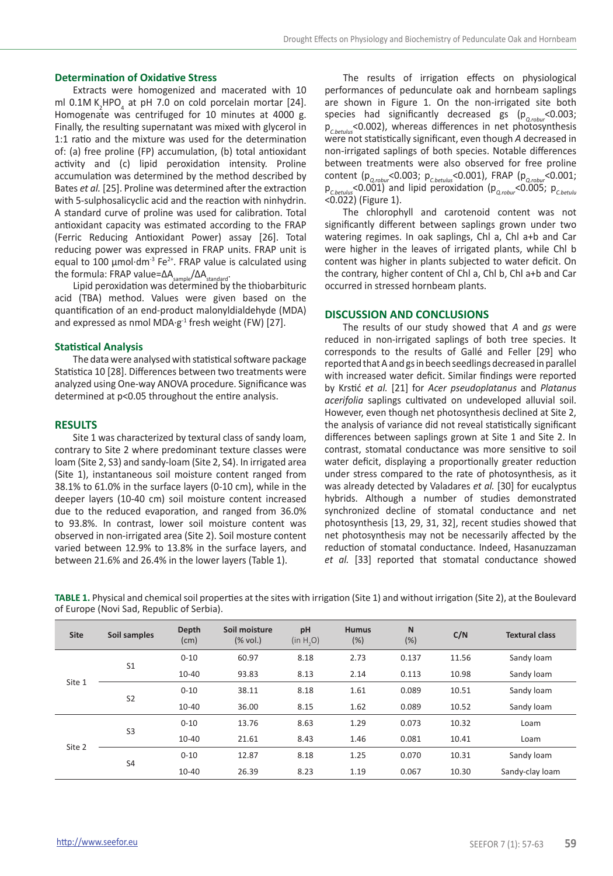#### **Determination of Oxidative Stress**

Extracts were homogenized and macerated with 10 ml  $0.1M K_2 HPO_4$  at pH 7.0 on cold porcelain mortar [24]. Homogenate was centrifuged for 10 minutes at 4000 g. Finally, the resulting supernatant was mixed with glycerol in 1:1 ratio and the mixture was used for the determination of: (a) free proline (FP) accumulation, (b) total antioxidant activity and (c) lipid peroxidation intensity. Proline accumulation was determined by the method described by Bates *et al.* [25]. Proline was determined after the extraction with 5-sulphosalicyclic acid and the reaction with ninhydrin. A standard curve of proline was used for calibration. Total antioxidant capacity was estimated according to the FRAP (Ferric Reducing Antioxidant Power) assay [26]. Total reducing power was expressed in FRAP units. FRAP unit is equal to 100 μmol∙dm-3 Fe2+. FRAP value is calculated using the formula: FRAP value=ΔA<sub>sample</sub>/ΔA<sub>standard</sub>.

Lipid peroxidation was determined by the thiobarbituric acid (TBA) method. Values were given based on the quantification of an end-product malonyldialdehyde (MDA) and expressed as nmol MDA⋅g<sup>-1</sup> fresh weight (FW) [27].

#### **Statistical Analysis**

The data were analysed with statistical software package Statistica 10 [28]. Differences between two treatments were analyzed using One-way ANOVA procedure. Significance was determined at p<0.05 throughout the entire analysis.

#### **RESULTS**

Site 1 was characterized by textural class of sandy loam, contrary to Site 2 where predominant texture classes were loam (Site 2, S3) and sandy-loam (Site 2, S4). In irrigated area (Site 1), instantaneous soil moisture content ranged from 38.1% to 61.0% in the surface layers (0-10 cm), while in the deeper layers (10-40 cm) soil moisture content increased due to the reduced evaporation, and ranged from 36.0% to 93.8%. In contrast, lower soil moisture content was observed in non-irrigated area (Site 2). Soil mosture content varied between 12.9% to 13.8% in the surface layers, and between 21.6% and 26.4% in the lower layers (Table 1).

The results of irrigation effects on physiological performances of pedunculate oak and hornbeam saplings are shown in Figure 1. On the non-irrigated site both species had significantly decreased gs (p<sub>arrow</sub><0.003; p<sub>Chetulus</sub><0.002), whereas differences in net photosynthesis were not statistically significant, even though *A* decreased in non-irrigated saplings of both species. Notable differences between treatments were also observed for free proline content (p<sub>o robur</sub><0.003; p<sub>C betulus</sub> <0.001), FRAP (p<sub>o robur</sub> <0.001; p*C.betulus*<0.001) and lipid peroxidation (p*Q.robur*<0.005; p*C.betulu*  <0.022) (Figure 1).

The chlorophyll and carotenoid content was not significantly different between saplings grown under two watering regimes. In oak saplings, Chl a, Chl a+b and Car were higher in the leaves of irrigated plants, while Chl b content was higher in plants subjected to water deficit. On the contrary, higher content of Chl a, Chl b, Chl a+b and Car occurred in stressed hornbeam plants.

# **DISCUSSION AND CONCLUSIONS**

The results of our study showed that *A* and *gs* were reduced in non-irrigated saplings of both tree species. It corresponds to the results of Gallé and Feller [29] who reported that A and gs in beech seedlings decreased in parallel with increased water deficit. Similar findings were reported by Krstić *et al.* [21] for *Acer pseudoplatanus* and *Platanus acerifolia* saplings cultivated on undeveloped alluvial soil. However, even though net photosynthesis declined at Site 2, the analysis of variance did not reveal statistically significant differences between saplings grown at Site 1 and Site 2. In contrast, stomatal conductance was more sensitive to soil water deficit, displaying a proportionally greater reduction under stress compared to the rate of photosynthesis, as it was already detected by Valadares *et al.* [30] for eucalyptus hybrids. Although a number of studies demonstrated synchronized decline of stomatal conductance and net photosynthesis [13, 29, 31, 32], recent studies showed that net photosynthesis may not be necessarily affected by the reduction of stomatal conductance. Indeed, Hasanuzzaman *et al.* [33] reported that stomatal conductance showed

| <b>Site</b> | Soil samples   | Depth<br>(cm) | Soil moisture<br>$(% \mathcal{L}^{\prime }\cap \mathcal{L}^{\prime })$ (% vol.) | pH<br>(in H, O) | <b>Humus</b><br>(%) | N<br>(%) | C/N   | <b>Textural class</b> |
|-------------|----------------|---------------|---------------------------------------------------------------------------------|-----------------|---------------------|----------|-------|-----------------------|
| Site 1      | S <sub>1</sub> | $0 - 10$      | 60.97                                                                           | 8.18            | 2.73                | 0.137    | 11.56 | Sandy loam            |
|             |                | $10 - 40$     | 93.83                                                                           | 8.13            | 2.14                | 0.113    | 10.98 | Sandy loam            |
|             | S <sub>2</sub> | $0 - 10$      | 38.11                                                                           | 8.18            | 1.61                | 0.089    | 10.51 | Sandy loam            |
|             |                | $10 - 40$     | 36.00                                                                           | 8.15            | 1.62                | 0.089    | 10.52 | Sandy loam            |
| Site 2      | S <sub>3</sub> | $0 - 10$      | 13.76                                                                           | 8.63            | 1.29                | 0.073    | 10.32 | Loam                  |
|             |                | $10 - 40$     | 21.61                                                                           | 8.43            | 1.46                | 0.081    | 10.41 | Loam                  |
|             | S <sub>4</sub> | $0 - 10$      | 12.87                                                                           | 8.18            | 1.25                | 0.070    | 10.31 | Sandy loam            |
|             |                | $10 - 40$     | 26.39                                                                           | 8.23            | 1.19                | 0.067    | 10.30 | Sandy-clay loam       |

**TABLE 1.** Physical and chemical soil properties at the sites with irrigation (Site 1) and without irrigation (Site 2), at the Boulevard of Europe (Novi Sad, Republic of Serbia).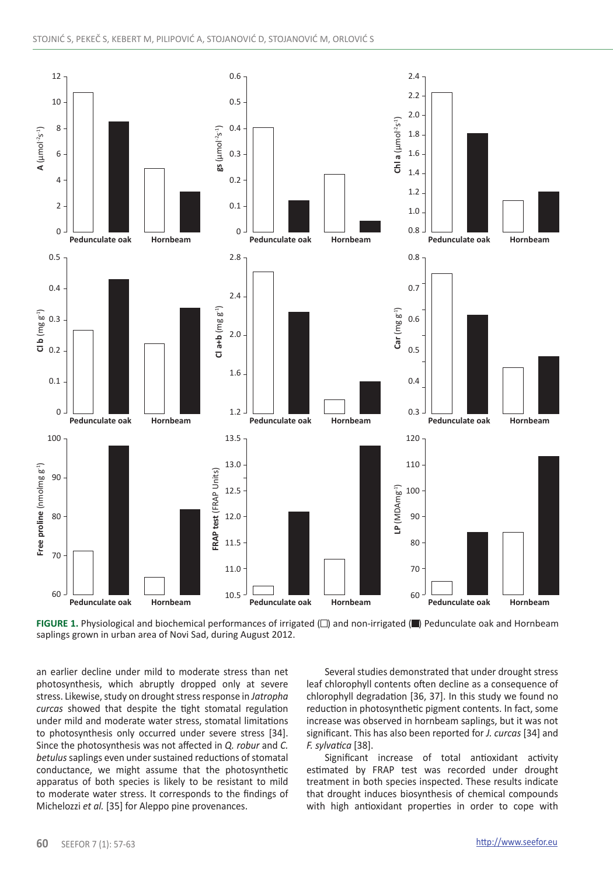

FIGURE 1. Physiological and biochemical performances of irrigated ( $\Box$ ) and non-irrigated ( $\Box$ ) Pedunculate oak and Hornbeam saplings grown in urban area of Novi Sad, during August 2012.

an earlier decline under mild to moderate stress than net photosynthesis, which abruptly dropped only at severe stress. Likewise, study on drought stress response in *Jatropha curcas* showed that despite the tight stomatal regulation under mild and moderate water stress, stomatal limitations to photosynthesis only occurred under severe stress [34]. Since the photosynthesis was not affected in *Q. robur* and *C. betulus* saplings even under sustained reductions of stomatal conductance, we might assume that the photosynthetic apparatus of both species is likely to be resistant to mild to moderate water stress. It corresponds to the findings of Michelozzi *et al.* [35] for Aleppo pine provenances.

Several studies demonstrated that under drought stress leaf chlorophyll contents often decline as a consequence of chlorophyll degradation [36, 37]. In this study we found no reduction in photosynthetic pigment contents. In fact, some increase was observed in hornbeam saplings, but it was not significant. This has also been reported for *J. curcas* [34] and *F. sylvatica* [38].

Significant increase of total antioxidant activity estimated by FRAP test was recorded under drought treatment in both species inspected. These results indicate that drought induces biosynthesis of chemical compounds with high antioxidant properties in order to cope with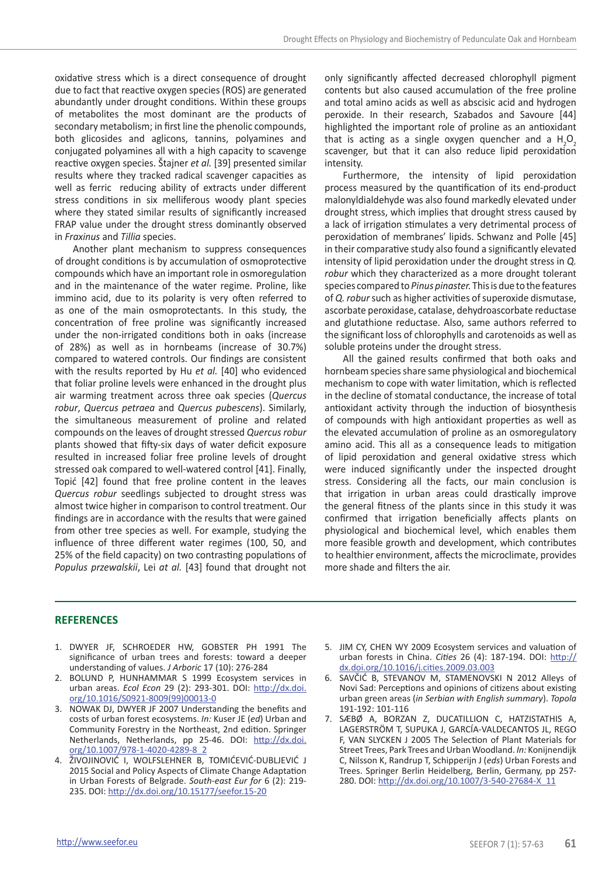oxidative stress which is a direct consequence of drought due to fact that reactive oxygen species (ROS) are generated abundantly under drought conditions. Within these groups of metabolites the most dominant are the products of secondary metabolism; in first line the phenolic compounds, both glicosides and aglicons, tannins, polyamines and conjugated polyamines all with a high capacity to scavenge reactive oxygen species. Štajner *et al.* [39] presented similar results where they tracked radical scavenger capacities as well as ferric reducing ability of extracts under different stress conditions in six melliferous woody plant species where they stated similar results of significantly increased FRAP value under the drought stress dominantly observed in *Fraxinus* and *Tillia* species.

Another plant mechanism to suppress consequences of drought conditions is by accumulation of osmoprotective compounds which have an important role in osmoregulation and in the maintenance of the water regime. Proline, like immino acid, due to its polarity is very often referred to as one of the main osmoprotectants. In this study, the concentration of free proline was significantly increased under the non-irrigated conditions both in oaks (increase of 28%) as well as in hornbeams (increase of 30.7%) compared to watered controls. Our findings are consistent with the results reported by Hu *et al.* [40] who evidenced that foliar proline levels were enhanced in the drought plus air warming treatment across three oak species (*Quercus robur*, *Quercus petraea* and *Quercus pubescens*). Similarly, the simultaneous measurement of proline and related compounds on the leaves of drought stressed *Quercus robur*  plants showed that fifty-six days of water deficit exposure resulted in increased foliar free proline levels of drought stressed oak compared to well-watered control [41]. Finally, Topić [42] found that free proline content in the leaves *Quercus robur* seedlings subjected to drought stress was almost twice higher in comparison to control treatment. Our findings are in accordance with the results that were gained from other tree species as well. For example, studying the influence of three different water regimes (100, 50, and 25% of the field capacity) on two contrasting populations of *Populus przewalskii*, Lei *at al.* [43] found that drought not only significantly affected decreased chlorophyll pigment contents but also caused accumulation of the free proline and total amino acids as well as abscisic acid and hydrogen peroxide. In their research, Szabados and Savoure [44] highlighted the important role of proline as an antioxidant that is acting as a single oxygen quencher and a  $H_2O_2$ scavenger, but that it can also reduce lipid peroxidation intensity.

Furthermore, the intensity of lipid peroxidation process measured by the quantification of its end-product malonyldialdehyde was also found markedly elevated under drought stress, which implies that drought stress caused by a lack of irrigation stimulates a very detrimental process of peroxidation of membranes' lipids. Schwanz and Polle [45] in their comparative study also found a significantly elevated intensity of lipid peroxidation under the drought stress in *Q. robur* which they characterized as a more drought tolerant species compared to *Pinus pinaster.* This is due to the features of *Q. robur* such as higher activities of superoxide dismutase, ascorbate peroxidase, catalase, dehydroascorbate reductase and glutathione reductase. Also, same authors referred to the significant loss of chlorophylls and carotenoids as well as soluble proteins under the drought stress.

All the gained results confirmed that both oaks and hornbeam species share same physiological and biochemical mechanism to cope with water limitation, which is reflected in the decline of stomatal conductance, the increase of total antioxidant activity through the induction of biosynthesis of compounds with high antioxidant properties as well as the elevated accumulation of proline as an osmoregulatory amino acid. This all as a consequence leads to mitigation of lipid peroxidation and general oxidative stress which were induced significantly under the inspected drought stress. Considering all the facts, our main conclusion is that irrigation in urban areas could drastically improve the general fitness of the plants since in this study it was confirmed that irrigation beneficially affects plants on physiological and biochemical level, which enables them more feasible growth and development, which contributes to healthier environment, affects the microclimate, provides more shade and filters the air.

## **REFERENCES**

- 1. DWYER JF, SCHROEDER HW, GOBSTER PH 1991 The significance of urban trees and forests: toward a deeper understanding of values. *J Arboric* 17 (10): 276-284
- 2. BOLUND P, HUNHAMMAR S 1999 Ecosystem services in urban areas. *Ecol Econ* 29 (2): 293-301. DOI: http://dx.doi. org/10.1016/S0921-8009(99)00013-0
- 3. NOWAK DJ, DWYER JF 2007 Understanding the benefits and costs of urban forest ecosystems. *In:* Kuser JE (*ed*) Urban and Community Forestry in the Northeast, 2nd edition. Springer Netherlands, Netherlands, pp 25-46. DOI: http://dx.doi. org/10.1007/978-1-4020-4289-8\_2
- 4. ŽIVOJINOVIĆ I, WOLFSLEHNER B, TOMIĆEVIĆ-DUBLJEVIĆ J 2015 Social and Policy Aspects of Climate Change Adaptation in Urban Forests of Belgrade. *South-east Eur for* 6 (2): 219- 235. DOI: http://dx.doi.org/10.15177/seefor.15-20
- 5. JIM CY, CHEN WY 2009 Ecosystem services and valuation of urban forests in China. *Cities* 26 (4): 187-194. DOI: http:// dx.doi.org/10.1016/j.cities.2009.03.003
- 6. SAVČIĆ B, STEVANOV M, STAMENOVSKI N 2012 Alleys of Novi Sad: Perceptions and opinions of citizens about existing urban green areas (*in Serbian with English summary*). *Topola* 191-192: 101-116
- 7. SÆBØ A, BORZAN Z, DUCATILLION C, HATZISTATHIS A, LAGERSTRÖM T, SUPUKA J, GARCÍA-VALDECANTOS JL, REGO F, VAN SLYCKEN J 2005 The Selection of Plant Materials for Street Trees, Park Trees and Urban Woodland. *In:* Konijnendijk C, Nilsson K, Randrup T, Schipperijn J (*eds*) Urban Forests and Trees. Springer Berlin Heidelberg, Berlin, Germany, pp 257- 280. DOI: http://dx.doi.org/10.1007/3-540-27684-X\_11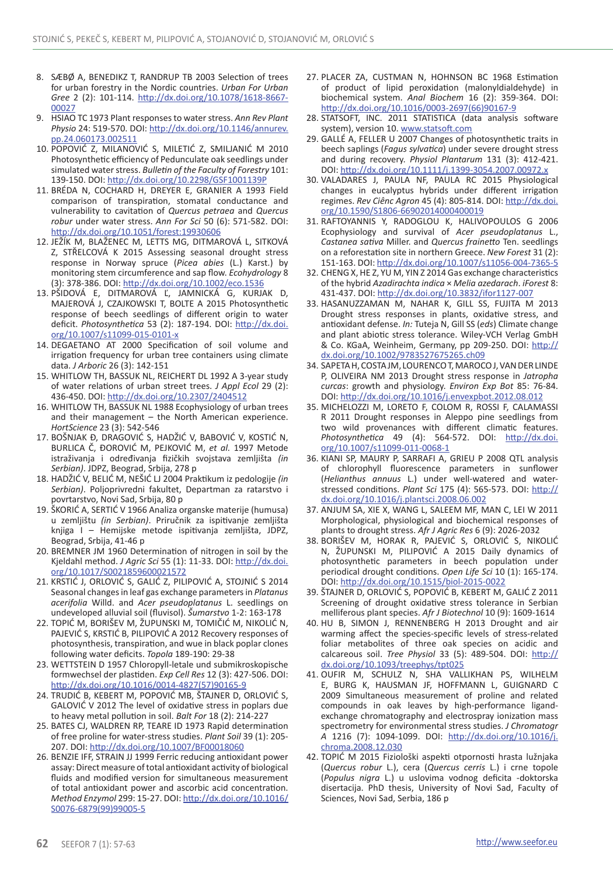- 8. SÆBØ A, BENEDIKZ T, RANDRUP TB 2003 Selection of trees for urban forestry in the Nordic countries. *Urban For Urban Gree* 2 (2): 101-114. http://dx.doi.org/10.1078/1618-8667- 00027
- 9. HSIAO TC 1973 Plant responses to water stress. *Ann Rev Plant Physio* 24: 519-570. DOI: http://dx.doi.org/10.1146/annurev. pp.24.060173.002511
- 10. POPOVIĆ Z, MILANOVIĆ S, MILETIĆ Z, SMILJANIĆ M 2010 Photosynthetic efficiency of Pedunculate oak seedlings under simulated water stress. *Bulletin of the Faculty of Forestry* 101: 139-150. DOI: http://dx.doi.org/10.2298/GSF1001139P
- 11. BRÉDA N, COCHARD H, DREYER E, GRANIER A 1993 Field comparison of transpiration, stomatal conductance and vulnerability to cavitation of *Quercus petraea* and *Quercus robur* under water stress. *Ann For Sci* 50 (6): 571-582. DOI: http://dx.doi.org/10.1051/forest:19930606
- 12. JEŽÍK M, BLAŽENEC M, LETTS MG, DITMAROVÁ L, SITKOVÁ Z, STŘELCOVÁ K 2015 Assessing seasonal drought stress response in Norway spruce (*Picea abies* (L.) Karst.) by monitoring stem circumference and sap flow. *Ecohydrology* 8 (3): 378-386. DOI: http://dx.doi.org/10.1002/eco.1536
- 13. PŠIDOVÁ E, DITMAROVÁ Ľ, JAMNICKÁ G, KURJAK D, MAJEROVÁ J, CZAJKOWSKI T, BOLTE A 2015 Photosynthetic response of beech seedlings of different origin to water deficit. *Photosynthetica* 53 (2): 187-194. DOI: http://dx.doi. org/10.1007/s11099-015-0101-x
- 14. DEGAETANO AT 2000 Specification of soil volume and irrigation frequency for urban tree containers using climate data. *J Arboric* 26 (3): 142-151
- 15. WHITLOW TH, BASSUK NL, REICHERT DL 1992 A 3-year study of water relations of urban street trees. *J Appl Ecol* 29 (2): 436-450. DOI: http://dx.doi.org/10.2307/2404512
- 16. WHITLOW TH, BASSUK NL 1988 Ecophysiology of urban trees and their management – the North American experience. *HortScience* 23 (3): 542-546
- 17. BOŠNJAK Đ, DRAGOVIĆ S, HADŽIĆ V, BABOVIĆ V, KOSTIĆ N, BURLICA Č, ĐOROVIĆ M, PEJKOVIĆ M, *et al.* 1997 Metode istraživanja i određivanja fizičkih svojstava zemljišta *(in Serbian)*. JDPZ, Beograd, Srbija, 278 p
- 18. HADŽIĆ V, BELIĆ M, NEŠIĆ LJ 2004 Praktikum iz pedologije *(in Serbian)*. Poljoprivredni fakultet, Departman za ratarstvo i povrtarstvo, Novi Sad, Srbija, 80 p
- 19. ŠKORIĆ A, SERTIĆ V 1966 Analiza organske materije (humusa) u zemljištu *(in Serbian)*. Priručnik za ispitivanje zemljišta knjiga I – Hemijske metode ispitivanja zemljišta, JDPZ, Beograd, Srbija, 41-46 p
- 20. BREMNER JM 1960 Determination of nitrogen in soil by the Kjeldahl method. *J Agric Sci* 55 (1): 11-33. DOI: http://dx.doi. org/10.1017/S0021859600021572
- 21. KRSTIĆ J, ORLOVIĆ S, GALIĆ Z, PILIPOVIĆ A, STOJNIĆ S 2014 Seasonal changes in leaf gas exchange parameters in *Platanus acerifolia* Willd. and *Acer pseudoplatanus* L. seedlings on undeveloped alluvial soil (fluvisol). *Šumarstvo* 1-2: 163-178
- 22. TOPIĆ M, BORIŠEV M, ŽUPUNSKI M, TOMIČIĆ M, NIKOLIĆ N, PAJEVIĆ S, KRSTIĆ B, PILIPOVIĆ A 2012 Recovery responses of photosynthesis, transpiration, and wue in black poplar clones following water deficits. *Topola* 189-190: 29-38
- 23. WETTSTEIN D 1957 Chloropyll-letale und submikroskopische formwechsel der plastiden. *Exp Cell Res* 12 (3): 427-506. DOI: http://dx.doi.org/10.1016/0014-4827(57)90165-9
- 24. TRUDIĆ B, KEBERT M, POPOVIĆ MB, ŠTAJNER D, ORLOVIĆ S, GALOVIĆ V 2012 The level of oxidative stress in poplars due to heavy metal pollution in soil. *Balt For* 18 (2): 214-227
- 25. BATES CJ, WALDREN RP, TEARE ID 1973 Rapid determination of free proline for water-stress studies. *Plant Soil* 39 (1): 205- 207. DOI: http://dx.doi.org/10.1007/BF00018060
- 26. BENZIE IFF, STRAIN JJ 1999 Ferric reducing antioxidant power assay: Direct measure of total antioxidant activity of biological fluids and modified version for simultaneous measurement of total antioxidant power and ascorbic acid concentration. *Method Enzymol* 299: 15-27. DOI: http://dx.doi.org/10.1016/ S0076-6879(99)99005-5
- 27. PLACER ZA, CUSTMAN N, HOHNSON BC 1968 Estimation of product of lipid peroxidation (malonyldialdehyde) in biochemical system. *Anal Biochem* 16 (2): 359-364. DOI: http://dx.doi.org/10.1016/0003-2697(66)90167-9
- 28. STATSOFT, INC. 2011 STATISTICA (data analysis software system), version 10. www.statsoft.com
- 29. GALLÉ A, FELLER U 2007 Changes of photosynthetic traits in beech saplings (*Fagus sylvatica*) under severe drought stress and during recovery. *Physiol Plantarum* 131 (3): 412-421. DOI: http://dx.doi.org/10.1111/j.1399-3054.2007.00972.x
- 30. VALADARES J, PAULA NF, PAULA RC 2015 Physiological changes in eucalyptus hybrids under different irrigation regimes. *Rev Ciênc Agron* 45 (4): 805-814. DOI: http://dx.doi. org/10.1590/S1806-66902014000400019
- 31. RAFTOYANNIS Y, RADOGLOU K, HALIVOPOULOS G 2006 Ecophysiology and survival of *Acer pseudoplatanus* L., *Castanea sativa* Miller. and *Quercus frainetto* Ten. seedlings on a reforestation site in northern Greece. *New Forest* 31 (2): 151-163. DOI: http://dx.doi.org/10.1007/s11056-004-7365-5
- 32. CHENG X, HE Z, YU M, YIN Z 2014 Gas exchange characteristics of the hybrid *Azadirachta indica* × *Melia azedarach*. *iForest* 8: 431-437. DOI: http://dx.doi.org/10.3832/ifor1127-007
- 33. HASANUZZAMAN M, NAHAR K, GILL SS, FUJITA M 2013 Drought stress responses in plants, oxidative stress, and antioxidant defense. *In:* Tuteja N, Gill SS (*eds*) Climate change and plant abiotic stress tolerance. Wiley-VCH Verlag GmbH & Co. KGaA, Weinheim, Germany, pp 209-250. DOI: http:// dx.doi.org/10.1002/9783527675265.ch09
- 34. SAPETA H, COSTA JM, LOURENCO T, MAROCO J, VAN DER LINDE P, OLIVEIRA NM 2013 Drought stress response in *Jatropha curcas*: growth and physiology. *Environ Exp Bot* 85: 76-84. DOI: http://dx.doi.org/10.1016/j.envexpbot.2012.08.012
- 35. MICHELOZZI M, LORETO F, COLOM R, ROSSI F, CALAMASSI R 2011 Drought responses in Aleppo pine seedlings from two wild provenances with different climatic features. *Photosynthetica* 49 (4): 564-572. DOI: http://dx.doi. org/10.1007/s11099-011-0068-1
- 36. KIANI SP, MAURY P, SARRAFI A, GRIEU P 2008 QTL analysis of chlorophyll fluorescence parameters in sunflower (*Helianthus annuus* L.) under well-watered and waterstressed conditions. *Plant Sci* 175 (4): 565-573. DOI: http:// dx.doi.org/10.1016/j.plantsci.2008.06.002
- 37. ANJUM SA, XIE X, WANG L, SALEEM MF, MAN C, LEI W 2011 Morphological, physiological and biochemical responses of plants to drought stress. *Afr J Agric Res* 6 (9): 2026-2032
- 38. BORIŠEV M, HORAK R, PAJEVIĆ S, ORLOVIĆ S, NIKOLIĆ N, ŽUPUNSKI M, PILIPOVIĆ A 2015 Daily dynamics of photosynthetic parameters in beech population under periodical drought conditions. *Open Life Sci* 10 (1): 165-174. DOI: http://dx.doi.org/10.1515/biol-2015-0022
- 39. ŠTAJNER D, ORLOVIĆ S, POPOVIĆ B, KEBERT M, GALIĆ Z 2011 Screening of drought oxidative stress tolerance in Serbian melliferous plant species. *Afr J Biotechnol* 10 (9): 1609-1614
- 40. HU B, SIMON J, RENNENBERG H 2013 Drought and air warming affect the species-specific levels of stress-related foliar metabolites of three oak species on acidic and calcareous soil. *Tree Physiol* 33 (5): 489-504. DOI: http:// dx.doi.org/10.1093/treephys/tpt025
- 41. OUFIR M, SCHULZ N, SHA VALLIKHAN PS, WILHELM E, BURG K, HAUSMAN JF, HOFFMANN L, GUIGNARD C 2009 Simultaneous measurement of proline and related compounds in oak leaves by high-performance ligandexchange chromatography and electrospray ionization mass spectrometry for environmental stress studies. *J Chromatogr A* 1216 (7): 1094-1099. DOI: http://dx.doi.org/10.1016/j. chroma.2008.12.030
- 42. TOPIĆ M 2015 Fiziološki aspekti otpornosti hrasta lužnjaka (*Quercus robur* L.), cera (*Quercus cerris* L.) i crne topole (*Populus nigra* L.) u uslovima vodnog deficita -doktorska disertacija. PhD thesis, University of Novi Sad, Faculty of Sciences, Novi Sad, Serbia, 186 p